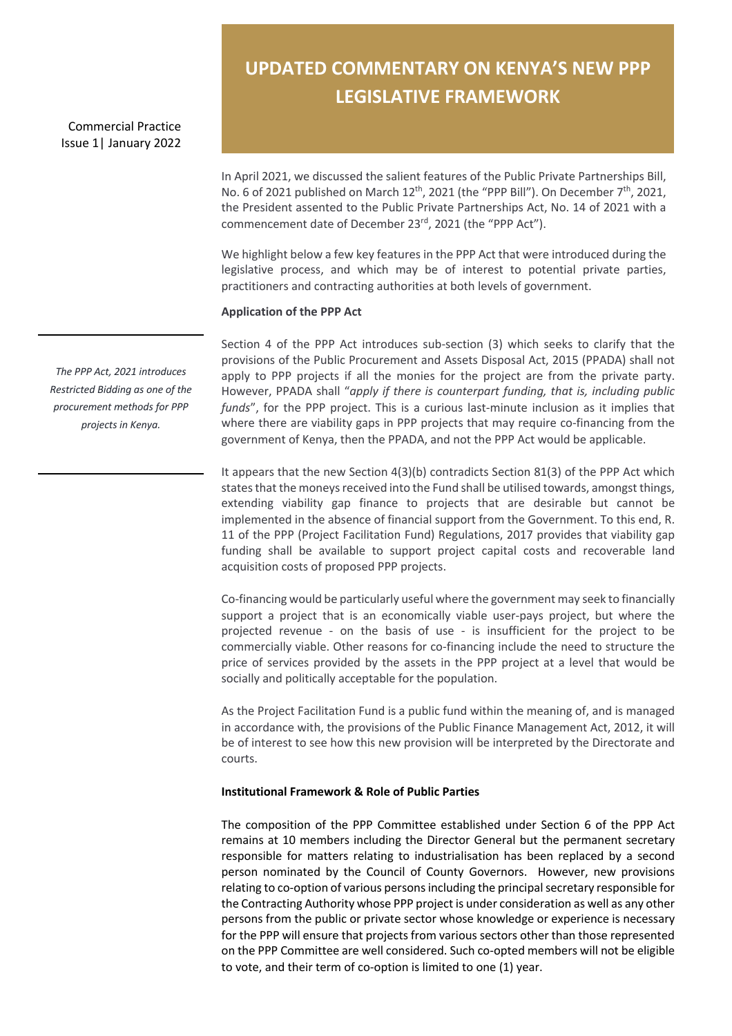Commercial Practice Issue 1| January 2022

# **UPDATED COMMENTARY ON KENYA'S NEW PPP LEGISLATIVE FRAMEWORK**

In April 2021, we discussed the salient features of the Public Private Partnerships Bill, No. 6 of 2021 published on March 12<sup>th</sup>, 2021 (the "PPP Bill"). On December 7<sup>th</sup>, 2021, the President assented to the Public Private Partnerships Act, No. 14 of 2021 with a commencement date of December 23rd, 2021 (the "PPP Act").

We highlight below a few key features in the PPP Act that were introduced during the legislative process, and which may be of interest to potential private parties, practitioners and contracting authorities at both levels of government.

#### **Application of the PPP Act**

Section 4 of the PPP Act introduces sub-section (3) which seeks to clarify that the provisions of the Public Procurement and Assets Disposal Act, 2015 (PPADA) shall not apply to PPP projects if all the monies for the project are from the private party. However, PPADA shall "*apply if there is counterpart funding, that is, including public funds*", for the PPP project. This is a curious last-minute inclusion as it implies that where there are viability gaps in PPP projects that may require co-financing from the government of Kenya, then the PPADA, and not the PPP Act would be applicable.

It appears that the new Section 4(3)(b) contradicts Section 81(3) of the PPP Act which states that the moneys received into the Fund shall be utilised towards, amongst things, extending viability gap finance to projects that are desirable but cannot be implemented in the absence of financial support from the Government. To this end, R. 11 of the PPP (Project Facilitation Fund) Regulations, 2017 provides that viability gap funding shall be available to support project capital costs and recoverable land acquisition costs of proposed PPP projects.

Co-financing would be particularly useful where the government may seek to financially support a project that is an economically viable user-pays project, but where the projected revenue - on the basis of use - is insufficient for the project to be commercially viable. Other reasons for co-financing include the need to structure the price of services provided by the assets in the PPP project at a level that would be socially and politically acceptable for the population.

As the Project Facilitation Fund is a public fund within the meaning of, and is managed in accordance with, the provisions of the Public Finance Management Act, 2012, it will be of interest to see how this new provision will be interpreted by the Directorate and courts.

# **Institutional Framework & Role of Public Parties**

The composition of the PPP Committee established under Section 6 of the PPP Act remains at 10 members including the Director General but the permanent secretary responsible for matters relating to industrialisation has been replaced by a second person nominated by the Council of County Governors. However, new provisions relating to co-option of various persons including the principal secretary responsible for the Contracting Authority whose PPP project is under consideration as well as any other persons from the public or private sector whose knowledge or experience is necessary for the PPP will ensure that projects from various sectors other than those represented on the PPP Committee are well considered. Such co-opted members will not be eligible to vote, and their term of co-option is limited to one (1) year.

*The PPP Act, 2021 introduces Restricted Bidding as one of the procurement methods for PPP projects in Kenya.*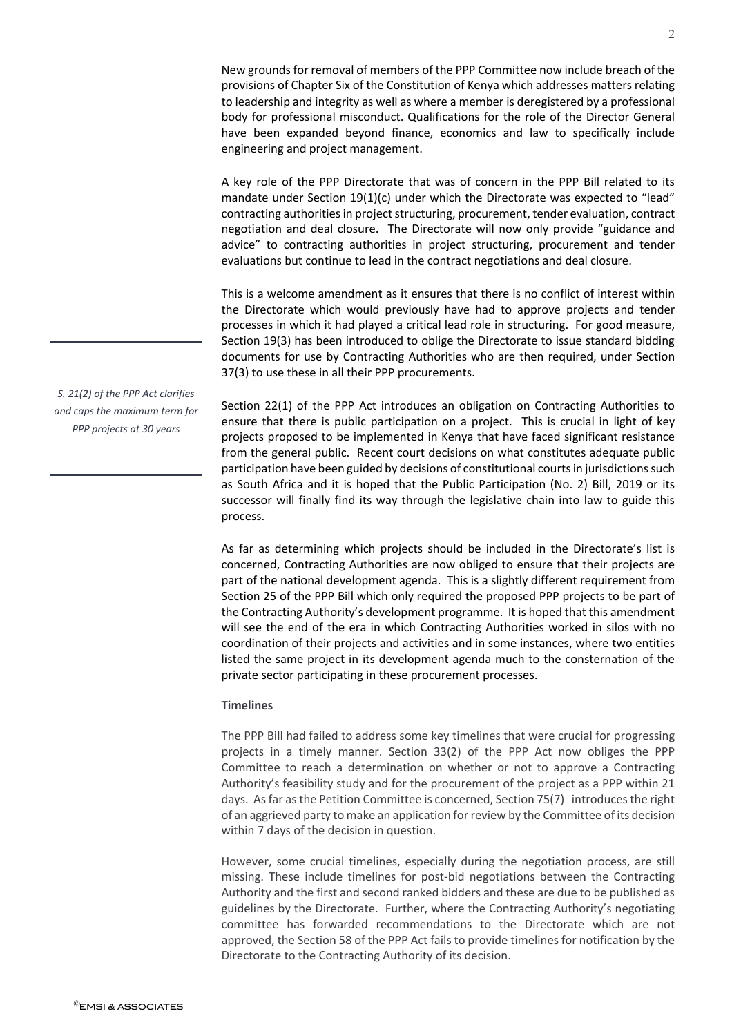New grounds for removal of members of the PPP Committee now include breach of the provisions of Chapter Six of the Constitution of Kenya which addresses matters relating to leadership and integrity as well as where a member is deregistered by a professional body for professional misconduct. Qualifications for the role of the Director General have been expanded beyond finance, economics and law to specifically include engineering and project management.

A key role of the PPP Directorate that was of concern in the PPP Bill related to its mandate under Section 19(1)(c) under which the Directorate was expected to "lead" contracting authorities in project structuring, procurement, tender evaluation, contract negotiation and deal closure. The Directorate will now only provide "guidance and advice" to contracting authorities in project structuring, procurement and tender evaluations but continue to lead in the contract negotiations and deal closure.

This is a welcome amendment as it ensures that there is no conflict of interest within the Directorate which would previously have had to approve projects and tender processes in which it had played a critical lead role in structuring. For good measure, Section 19(3) has been introduced to oblige the Directorate to issue standard bidding documents for use by Contracting Authorities who are then required, under Section 37(3) to use these in all their PPP procurements.

Section 22(1) of the PPP Act introduces an obligation on Contracting Authorities to ensure that there is public participation on a project. This is crucial in light of key projects proposed to be implemented in Kenya that have faced significant resistance from the general public. Recent court decisions on what constitutes adequate public participation have been guided by decisions of constitutional courts in jurisdictions such as South Africa and it is hoped that the Public Participation (No. 2) Bill, 2019 or its successor will finally find its way through the legislative chain into law to guide this process.

As far as determining which projects should be included in the Directorate's list is concerned, Contracting Authorities are now obliged to ensure that their projects are part of the national development agenda. This is a slightly different requirement from Section 25 of the PPP Bill which only required the proposed PPP projects to be part of the Contracting Authority's development programme. It is hoped that this amendment will see the end of the era in which Contracting Authorities worked in silos with no coordination of their projects and activities and in some instances, where two entities listed the same project in its development agenda much to the consternation of the private sector participating in these procurement processes.

### **Timelines**

The PPP Bill had failed to address some key timelines that were crucial for progressing projects in a timely manner. Section 33(2) of the PPP Act now obliges the PPP Committee to reach a determination on whether or not to approve a Contracting Authority's feasibility study and for the procurement of the project as a PPP within 21 days. As far as the Petition Committee is concerned, Section 75(7) introduces the right of an aggrieved party to make an application for review by the Committee of its decision within 7 days of the decision in question.

However, some crucial timelines, especially during the negotiation process, are still missing. These include timelines for post-bid negotiations between the Contracting Authority and the first and second ranked bidders and these are due to be published as guidelines by the Directorate. Further, where the Contracting Authority's negotiating committee has forwarded recommendations to the Directorate which are not approved, the Section 58 of the PPP Act fails to provide timelines for notification by the Directorate to the Contracting Authority of its decision.

*S. 21(2) of the PPP Act clarifies and caps the maximum term for PPP projects at 30 years*